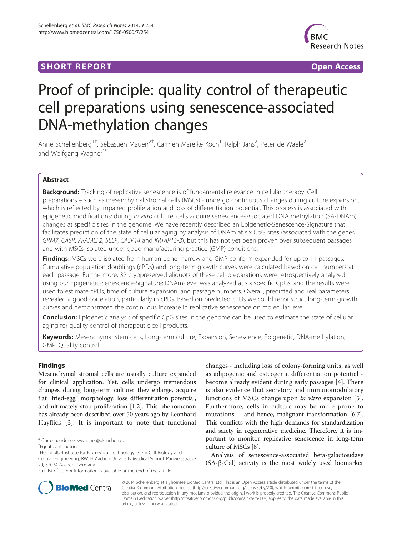# **SHORT REPORT SHORT CONSUMING THE SHORT CONSUMING THE SHORT CONSUMING THE SHORT CONSUMING THE SHORT CONSUMING THE SHORT CONSUMING THE SHORT CONSUMING THE SHORT CONSUMING THE SHORT CONSUMING THE SHORT CONSUMING THE SHORT**



# Proof of principle: quality control of therapeutic cell preparations using senescence-associated DNA-methylation changes

Anne Schellenberg<sup>1†</sup>, Sébastien Mauen<sup>2†</sup>, Carmen Mareike Koch<sup>1</sup>, Ralph Jans<sup>2</sup>, Peter de Waele<sup>2</sup> and Wolfgang Wagner<sup>1\*</sup>

# Abstract

Background: Tracking of replicative senescence is of fundamental relevance in cellular therapy. Cell preparations – such as mesenchymal stromal cells (MSCs) - undergo continuous changes during culture expansion, which is reflected by impaired proliferation and loss of differentiation potential. This process is associated with epigenetic modifications: during in vitro culture, cells acquire senescence-associated DNA methylation (SA-DNAm) changes at specific sites in the genome. We have recently described an Epigenetic-Senescence-Signature that facilitates prediction of the state of cellular aging by analysis of DNAm at six CpG sites (associated with the genes GRM7, CASR, PRAMEF2, SELP, CASP14 and KRTAP13-3), but this has not yet been proven over subsequent passages and with MSCs isolated under good manufacturing practice (GMP) conditions.

Findings: MSCs were isolated from human bone marrow and GMP-conform expanded for up to 11 passages. Cumulative population doublings (cPDs) and long-term growth curves were calculated based on cell numbers at each passage. Furthermore, 32 cryopreserved aliquots of these cell preparations were retrospectively analyzed using our Epigenetic-Senescence-Signature: DNAm-level was analyzed at six specific CpGs, and the results were used to estimate cPDs, time of culture expansion, and passage numbers. Overall, predicted and real parameters revealed a good correlation, particularly in cPDs. Based on predicted cPDs we could reconstruct long-term growth curves and demonstrated the continuous increase in replicative senescence on molecular level.

**Conclusion:** Epigenetic analysis of specific CpG sites in the genome can be used to estimate the state of cellular aging for quality control of therapeutic cell products.

Keywords: Mesenchymal stem cells, Long-term culture, Expansion, Senescence, Epigenetic, DNA-methylation, GMP, Quality control

# Findings

Mesenchymal stromal cells are usually culture expanded for clinical application. Yet, cells undergo tremendous changes during long-term culture: they enlarge, acquire flat "fried-egg" morphology, lose differentiation potential, and ultimately stop proliferation [\[1,2](#page-3-0)]. This phenomenon has already been described over 50 years ago by Leonhard Hayflick [[3](#page-3-0)]. It is important to note that functional

changes - including loss of colony-forming units, as well as adipogenic and osteogenic differentiation potential become already evident during early passages [[4\]](#page-3-0). There is also evidence that secretory and immunomodulatory functions of MSCs change upon *in vitro* expansion [\[5](#page-3-0)]. Furthermore, cells in culture may be more prone to mutations – and hence, malignant transformation [[6,7](#page-3-0)]. This conflicts with the high demands for standardization and safety in regenerative medicine. Therefore, it is important to monitor replicative senescence in long-term culture of MSCs [[8\]](#page-3-0).

Analysis of senescence-associated beta-galactosidase (SA-β-Gal) activity is the most widely used biomarker



© 2014 Schellenberg et al.; licensee BioMed Central Ltd. This is an Open Access article distributed under the terms of the Creative Commons Attribution License (<http://creativecommons.org/licenses/by/2.0>), which permits unrestricted use, distribution, and reproduction in any medium, provided the original work is properly credited. The Creative Commons Public Domain Dedication waiver [\(http://creativecommons.org/publicdomain/zero/1.0/\)](http://creativecommons.org/publicdomain/zero/1.0/) applies to the data made available in this article, unless otherwise stated.

<sup>\*</sup> Correspondence: [wwagner@ukaachen.de](mailto:wwagner@ukaachen.de) †

Equal contributors

<sup>&</sup>lt;sup>1</sup>Helmholtz-Institute for Biomedical Technology, Stem Cell Biology and Cellular Engineering, RWTH Aachen University Medical School, Pauwelsstrasse 20, 52074 Aachen, Germany

Full list of author information is available at the end of the article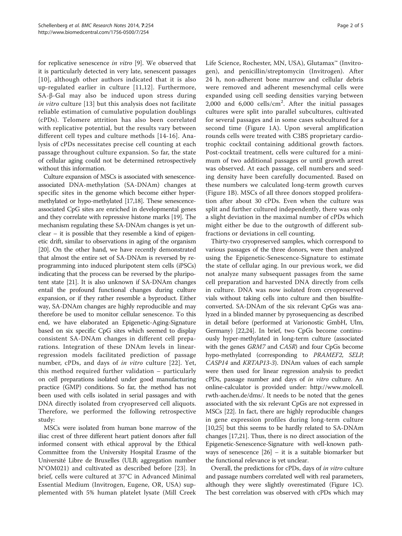for replicative senescence in vitro [[9\]](#page-3-0). We observed that it is particularly detected in very late, senescent passages [[10](#page-3-0)], although other authors indicated that it is also up-regulated earlier in culture [[11,12](#page-3-0)]. Furthermore, SA-β-Gal may also be induced upon stress during in vitro culture [[13](#page-3-0)] but this analysis does not facilitate reliable estimation of cumulative population doublings (cPDs). Telomere attrition has also been correlated with replicative potential, but the results vary between different cell types and culture methods [\[14-16](#page-4-0)]. Analysis of cPDs necessitates precise cell counting at each passage throughout culture expansion. So far, the state of cellular aging could not be determined retrospectively without this information.

Culture expansion of MSCs is associated with senescenceassociated DNA-methylation (SA-DNAm) changes at specific sites in the genome which become either hypermethylated or hypo-methylated [\[17,18\]](#page-4-0). These senescenceassociated CpG sites are enriched in developmental genes and they correlate with repressive histone marks [[19\]](#page-4-0). The mechanism regulating these SA-DNAm changes is yet unclear – it is possible that they resemble a kind of epigenetic drift, similar to observations in aging of the organism [[20](#page-4-0)]. On the other hand, we have recently demonstrated that almost the entire set of SA-DNAm is reversed by reprogramming into induced pluripotent stem cells (iPSCs) indicating that the process can be reversed by the pluripotent state [[21](#page-4-0)]. It is also unknown if SA-DNAm changes entail the profound functional changes during culture expansion, or if they rather resemble a byproduct. Either way, SA-DNAm changes are highly reproducible and may therefore be used to monitor cellular senescence. To this end, we have elaborated an Epigenetic-Aging-Signature based on six specific CpG sites which seemed to display consistent SA-DNAm changes in different cell preparations. Integration of these DNAm levels in linearregression models facilitated prediction of passage number, cPDs, and days of in vitro culture [[22](#page-4-0)]. Yet, this method required further validation – particularly on cell preparations isolated under good manufacturing practice (GMP) conditions. So far, the method has not been used with cells isolated in serial passages and with DNA directly isolated from cryopreserved cell aliquots. Therefore, we performed the following retrospective study:

MSCs were isolated from human bone marrow of the iliac crest of three different heart patient donors after full informed consent with ethical approval by the Ethical Committee from the University Hospital Erasme of the Université Libre de Bruxelles (ULB; aggregation number N°OM021) and cultivated as described before [[23\]](#page-4-0). In brief, cells were cultured at 37°C in Advanced Minimal Essential Medium (Invitrogen, Eugene, OR, USA) supplemented with 5% human platelet lysate (Mill Creek Life Science, Rochester, MN, USA), Glutamax™ (Invitrogen), and penicillin/streptomycin (Invitrogen). After 24 h, non-adherent bone marrow and cellular debris were removed and adherent mesenchymal cells were expanded using cell seeding densities varying between 2,000 and  $6,000$  cells/cm<sup>2</sup>. After the initial passages cultures were split into parallel subcultures, cultivated for several passages and in some cases subcultured for a second time (Figure [1](#page-2-0)A). Upon several amplification rounds cells were treated with C3BS proprietary cardiotrophic cocktail containing additional growth factors. Post-cocktail treatment, cells were cultured for a minimum of two additional passages or until growth arrest was observed. At each passage, cell numbers and seeding density have been carefully documented. Based on these numbers we calculated long-term growth curves (Figure [1](#page-2-0)B). MSCs of all three donors stopped proliferation after about 30 cPDs. Even when the culture was split and further cultured independently, there was only a slight deviation in the maximal number of cPDs which might either be due to the outgrowth of different subfractions or deviations in cell counting.

Thirty-two cryopreserved samples, which correspond to various passages of the three donors, were then analyzed using the Epigenetic-Senescence-Signature to estimate the state of cellular aging. In our previous work, we did not analyze many subsequent passages from the same cell preparation and harvested DNA directly from cells in culture. DNA was now isolated from cryopreserved vials without taking cells into culture and then bisulfiteconverted. SA-DNAm of the six relevant CpGs was analyzed in a blinded manner by pyrosequencing as described in detail before (performed at Varionostic GmbH, Ulm, Germany) [[22,24\]](#page-4-0). In brief, two CpGs become continuously hyper-methylated in long-term culture (associated with the genes GRM7 and CASR) and four CpGs become hypo-methylated (corresponding to PRAMEF2, SELP, CASP14 and KRTAP13-3). DNAm values of each sample were then used for linear regression analysis to predict cPDs, passage number and days of in vitro culture. An online-calculator is provided under: [http://www.molcell.](http://www.molcell.rwth-aachen.de/dms/) [rwth-aachen.de/dms/.](http://www.molcell.rwth-aachen.de/dms/) It needs to be noted that the genes associated with the six relevant CpGs are not expressed in MSCs [\[22\]](#page-4-0). In fact, there are highly reproducible changes in gene expression profiles during long-term culture [[10](#page-3-0)[,25](#page-4-0)] but this seems to be hardly related to SA-DNAm changes [\[17,21\]](#page-4-0). Thus, there is no direct association of the Epigenetic-Senescence-Signature with well-known pathways of senescence  $[26]$  $[26]$  $[26]$  – it is a suitable biomarker but the functional relevance is yet unclear.

Overall, the predictions for cPDs, days of in vitro culture and passage numbers correlated well with real parameters, although they were slightly overestimated (Figure [1C](#page-2-0)). The best correlation was observed with cPDs which may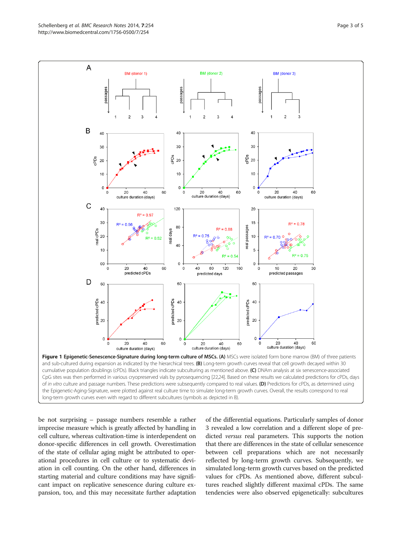<span id="page-2-0"></span>

the Epigenetic-Aging-Signature, were plotted against real culture time to simulate long-term growth curves. Overall, the results correspond to real long-term growth curves even with regard to different subcultures (symbols as depicted in B).

be not surprising – passage numbers resemble a rather imprecise measure which is greatly affected by handling in cell culture, whereas cultivation-time is interdependent on donor-specific differences in cell growth. Overestimation of the state of cellular aging might be attributed to operational procedures in cell culture or to systematic deviation in cell counting. On the other hand, differences in starting material and culture conditions may have significant impact on replicative senescence during culture expansion, too, and this may necessitate further adaptation

of the differential equations. Particularly samples of donor 3 revealed a low correlation and a different slope of predicted versus real parameters. This supports the notion that there are differences in the state of cellular senescence between cell preparations which are not necessarily reflected by long-term growth curves. Subsequently, we simulated long-term growth curves based on the predicted values for cPDs. As mentioned above, different subcultures reached slightly different maximal cPDs. The same tendencies were also observed epigenetically: subcultures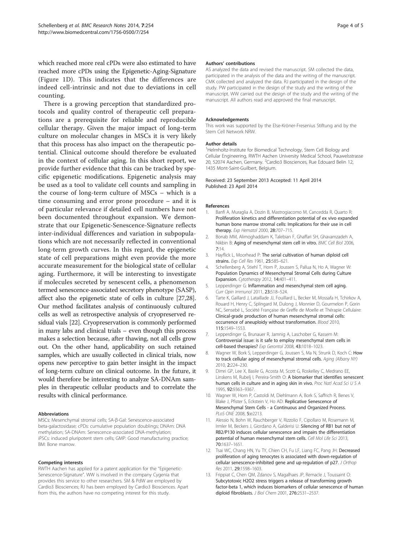<span id="page-3-0"></span>which reached more real cPDs were also estimated to have reached more cPDs using the Epigenetic-Aging-Signature (Figure [1D](#page-2-0)). This indicates that the differences are indeed cell-intrinsic and not due to deviations in cell counting.

There is a growing perception that standardized protocols and quality control of therapeutic cell preparations are a prerequisite for reliable and reproducible cellular therapy. Given the major impact of long-term culture on molecular changes in MSCs it is very likely that this process has also impact on the therapeutic potential. Clinical outcome should therefore be evaluated in the context of cellular aging. In this short report, we provide further evidence that this can be tracked by specific epigenetic modifications. Epigenetic analysis may be used as a tool to validate cell counts and sampling in the course of long-term culture of MSCs – which is a time consuming and error prone procedure – and it is of particular relevance if detailed cell numbers have not been documented throughout expansion. We demonstrate that our Epigenetic-Senescence-Signature reflects inter-individual differences and variation in subpopulations which are not necessarily reflected in conventional long-term growth curves. In this regard, the epigenetic state of cell preparations might even provide the more accurate measurement for the biological state of cellular aging. Furthermore, it will be interesting to investigate if molecules secreted by senescent cells, a phenomenon termed senescence-associated secretory phenotype (SASP), affect also the epigenetic state of cells in culture [\[27,28](#page-4-0)]. Our method facilitates analysis of continuously cultured cells as well as retrospective analysis of cryopreserved residual vials [[22](#page-4-0)]. Cryopreservation is commonly performed in many labs and clinical trials – even though this process makes a selection because, after thawing, not all cells grow out. On the other hand, applicability on such retained samples, which are usually collected in clinical trials, now opens new perceptive to gain better insight in the impact of long-term culture on clinical outcome. In the future, it would therefore be interesting to analyze SA-DNAm samples in therapeutic cellular products and to correlate the results with clinical performance.

#### Abbreviations

MSCs: Mesenchymal stromal cells; SA-β-Gal: Senescence-associated beta-galactosidase; cPDs: cumulative population doublings; DNAm: DNA methylation; SA-DNAm: Senescence-associated DNA-methylation; iPSCs: induced pluripotent stem cells; GMP: Good manufacturing practice; BM: Bone marrow.

#### Competing interests

RWTH Aachen has applied for a patent application for the "Epigenetic-Senescence-Signature". WW is involved in the company Cygenia that provides this service to other researchers. SM & PdW are employed by Cardio3 Biosciences; RJ has been employed by Cardio3 Biosciences. Apart from this, the authors have no competing interest for this study.

#### Authors' contributions

AS analyzed the data and revised the manuscript. SM collected the data, participated in the analysis of the data and the writing of the manuscript. CMK collected and analyzed the data. RJ participated in the design of the study. PW participated in the design of the study and the writing of the manuscript. WW carried out the design of the study and the writing of the manuscript. All authors read and approved the final manuscript.

#### Acknowledgements

This work was supported by the Else-Kröner-Fresenius Stiftung and by the Stem Cell Network NRW.

#### Author details

<sup>1</sup>Helmholtz-Institute for Biomedical Technology, Stem Cell Biology and Cellular Engineering, RWTH Aachen University Medical School, Pauwelsstrasse 20, 52074 Aachen, Germany. <sup>2</sup>Cardio3 Biosciences, Rue Edouard Belin 12 1435 Mont-Saint-Guilbert, Belgium.

### Received: 23 September 2013 Accepted: 11 April 2014 Published: 23 April 2014

#### References

- Banfi A, Muraglia A, Dozin B, Mastrogiacomo M, Cancedda R, Quarto R: Proliferation kinetics and differentiation potential of ex vivo expanded human bone marrow stromal cells: Implications for their use in cell therapy. Exp Hematol 2000, 28:707–715.
- 2. Bonab MM, Alimoghaddam K, Talebian F, Ghaffari SH, Ghavamzadeh A, Nikbin B: Aging of mesenchymal stem cell in vitro. BMC Cell Biol 2006, 7:14.
- 3. Hayflick L, Moorhead P: The serial cultivation of human diploid cell strains. Exp Cell Res 1961, 25:585–621.
- Schellenberg A, Stiehl T, Horn P, Joussen S, Pallua N, Ho A, Wagner W: Population Dynamics of Mesenchymal Stromal Cells during Culture Expansion. Cytotherapy 2012, 14:401–411.
- 5. Lepperdinger G: Inflammation and mesenchymal stem cell aging. Curr Opin Immunol 2011, 23:518–524.
- 6. Tarte K, Gaillard J, Lataillade JJ, Fouillard L, Becker M, Mossafa H, Tchirkov A, Rouard H, Henry C, Splingard M, Dulong J, Monnier D, Gourmelon P, Gorin NC, Sensebé L, Société Française de Greffe de Moelle et Thérapie Cellulaire: Clinical-grade production of human mesenchymal stromal cells: occurrence of aneuploidy without transformation. Blood 2010, 115:1549–1553.
- 7. Lepperdinger G, Brunauer R, Jamnig A, Laschober G, Kassem M: Controversial issue: is it safe to employ mesenchymal stem cells in cell-based therapies? Exp Gerontol 2008, 43:1018–1023.
- 8. Wagner W, Bork S, Lepperdinger G, Joussen S, Ma N, Strunk D, Koch C: How to track cellular aging of mesenchymal stromal cells. Aging (Albany NY) 2010, 2:224–230.
- 9. Dimri GP, Lee X, Basile G, Acosta M, Scott G, Roskelley C, Medrano EE, Linskens M, Rubelj I, Pereira-Smith O: A biomarker that identifies senescent human cells in culture and in aging skin in vivo. Proc Natl Acad Sci U S A 1995, 92:9363–9367.
- 10. Wagner W, Horn P, Castoldi M, Diehlmann A, Bork S, Saffrich R, Benes V, Blake J, Pfister S, Eckstein V, Ho AD: Replicative Senescence of Mesenchymal Stem Cells - a Continuous and Organized Process. PLoS ONE 2008, 5:e2213.
- 11. Alessio N, Bohn W, Rauchberger V, Rizzolio F, Cipollaro M, Rosemann M, Irmler M, Beckers J, Giordano A, Galderisi U: Silencing of RB1 but not of RB2/P130 induces cellular senescence and impairs the differentiation potential of human mesenchymal stem cells. Cell Mol Life Sci 2013, 70:1637–1651.
- 12. Tsai WC, Chang HN, Yu TY, Chien CH, Fu LF, Liang FC, Pang JH: Decreased proliferation of aging tenocytes is associated with down-regulation of cellular senescence-inhibited gene and up-regulation of p27. J Orthop Res 2011, 29:1598–1603.
- 13. Frippiat C, Chen QM, Zdanov S, Magalhaes JP, Remacle J, Toussaint O: Subcytotoxic H2O2 stress triggers a release of transforming growth factor-beta 1, which induces biomarkers of cellular senescence of human diploid fibroblasts. J Biol Chem 2001, 276:2531–2537.